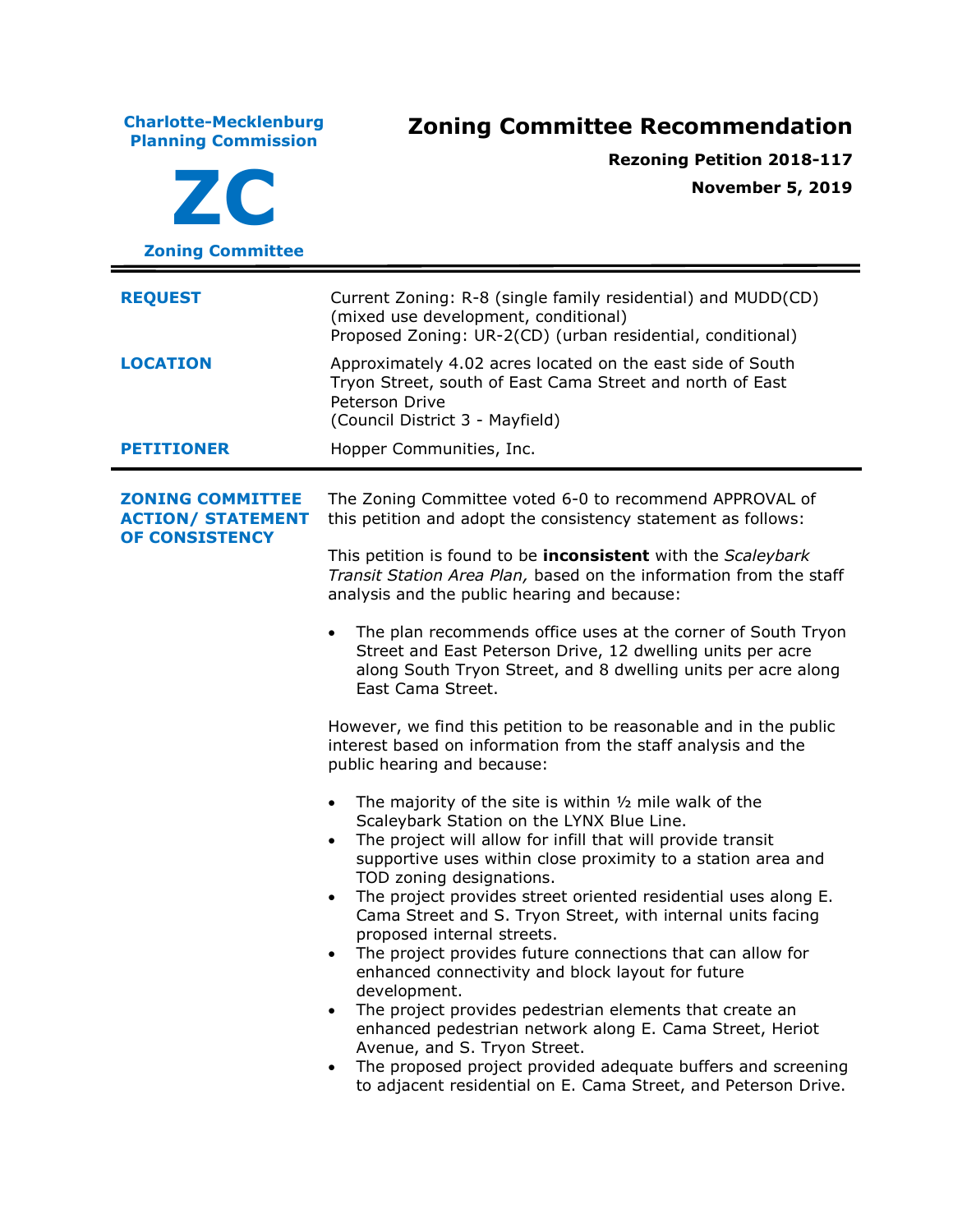**Charlotte-Mecklenburg Planning Commission Zoning Committee Recommendation ZC Zoning Committee Rezoning Petition 2018-117 November 5, 2019 REQUEST** Current Zoning: R-8 (single family residential) and MUDD(CD) (mixed use development, conditional) Proposed Zoning: UR-2(CD) (urban residential, conditional) **LOCATION** Approximately 4.02 acres located on the east side of South Tryon Street, south of East Cama Street and north of East Peterson Drive (Council District 3 - Mayfield) **PETITIONER** Hopper Communities, Inc. **ZONING COMMITTEE ACTION/ STATEMENT OF CONSISTENCY** The Zoning Committee voted 6-0 to recommend APPROVAL of this petition and adopt the consistency statement as follows: This petition is found to be **inconsistent** with the *Scaleybark Transit Station Area Plan,* based on the information from the staff analysis and the public hearing and because: The plan recommends office uses at the corner of South Tryon Street and East Peterson Drive, 12 dwelling units per acre along South Tryon Street, and 8 dwelling units per acre along East Cama Street. However, we find this petition to be reasonable and in the public interest based on information from the staff analysis and the public hearing and because: The majority of the site is within  $\frac{1}{2}$  mile walk of the Scaleybark Station on the LYNX Blue Line. The project will allow for infill that will provide transit supportive uses within close proximity to a station area and TOD zoning designations. • The project provides street oriented residential uses along E. Cama Street and S. Tryon Street, with internal units facing proposed internal streets. The project provides future connections that can allow for enhanced connectivity and block layout for future development. • The project provides pedestrian elements that create an enhanced pedestrian network along E. Cama Street, Heriot Avenue, and S. Tryon Street. The proposed project provided adequate buffers and screening to adjacent residential on E. Cama Street, and Peterson Drive.